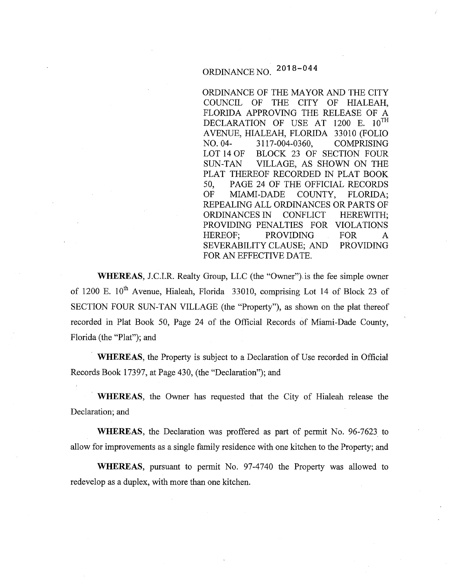# ORDINANCE NO.  $2018-044$

ORDINANCE OF THE MAYOR AND THE CITY COUNCIL OF THE CITY OF HIALEAH, FLORIDA APPROVING THE RELEASE OF A DECLARATION OF USE AT 1200 E.  $10^{TH}$ AVENUE, HIALEAH, FLORIDA 33010 (FOLIO NO. 04- 3117-004-0360, COMPRISING LOT 14 OF BLOCK 23 OF SECTION FOUR SUN-TAN VILLAGE, AS SHOWN ON THE PLAT THEREOF RECORDED IN PLAT BOOK 50, PAGE 24 OF THE OFFICIAL RECORDS OF MIAMI-DADE COUNTY, FLORIDA; REPEALING ALL ORDINANCES OR PARTS OF ORDINANCES IN CONFLICT HEREWITH; PROVIDING PENALTIES FOR VIOLATIONS HEREOF; PROVIDING FOR A SEVERABILITY CLAUSE; AND PROVIDING FOR AN EFFECTIVE DATE.

**WHEREAS,** J.C.I.R. Realty Group, LLC (the "Owner").is the fee simple owner of 1200 E. 10<sup>th</sup> Avenue, Hialeah, Florida 33010, comprising Lot 14 of Block 23 of SECTION FOUR SUN-TAN VILLAGE (the "Property"), as shown on the plat thereof recorded in Plat Book 50, Page 24 of the Official Records of Miami-Dade County, Florida (the "Plat"); and

**WHEREAS,** the Property is subject to a Declaration of Use recorded in Official Records Book 17397, at Page 430, (the "Declaration"); and

· **WHEREAS,** the Owner has requested that the City of Hialeah release the Declaration; and

**WHEREAS,** the Declaration was proffered as part of permit No. 96-7623 to allow for improvements as a single family residence with one kitchen to the Property; and

**WHEREAS,** pursuant to permit No. 97-4740 the Property was allowed to redevelop as a duplex, with more than one kitchen.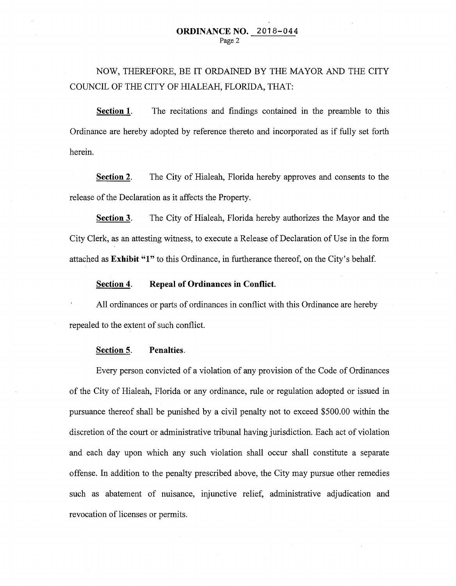NOW, THEREFORE, BE IT ORDAINED BY THE MAYOR AND THE CITY COUNCIL OF THE CITY OF HIALEAH, FLORIDA, THAT:

**Section 1.** The recitations and findings contained in the preamble to this Ordinance are hereby adopted by reference thereto and incorporated as if fully set forth herein.

**Section 2.** The City of Hialeah, Florida hereby approves and consents to the release of the Declaration as it affects the Property.

**Section 3.** The City of Hialeah, Florida hereby authorizes the Mayor and the City Clerk, as an attesting witness, to execute a Release of Declaration of Use in the form attached as **Exhibit "1"** to this Ordinance, in furtherance thereof, on the City's behalf.

#### **Section 4. Repeal of Ordinances in Conflict.**

All ordinances or parts of ordinances in conflict with this Ordinance are hereby repealed to the extent of such conflict.

#### **Section 5. Penalties.**

Every person convicted of a violation of any provision of the Code of Ordinances of the City of Hialeah, Florida or any ordinance, rule or regulation adopted or issued in pursuance thereof shall be punished by a civil penalty not to exceed \$500.00 within the discretion of the court or administrative tribunal having jurisdiction. Each act of violation and each day upon which any such violation shall occur shall constitute a separate offense. In addition to the penalty prescribed above, the City may pursue other remedies such as abatement of nuisance, injunctive relief, administrative adjudication and revocation of licenses or permits.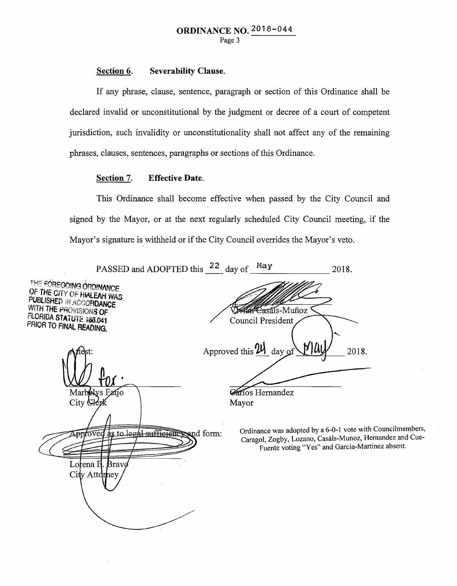#### Section 6. Severability Clause.

If any phrase, clause, sentence, paragraph or section of this Ordinance shall be declared invalid or unconstitutional by the judgment or decree of a court of competent jurisdiction, such invalidity or unconstitutionality shall not affect any of the remaining phrases, clauses, sentences, paragraphs or sections of this Ordinance.

### Section 7. Effective Date.

This Ordinance shall become effective when passed by the City Council and signed by the Mayor, or at the next regularly scheduled City Council meeting, if the Mayor's signature is withheld or if the City Council overrides the Mayor's veto.

|                                                                                                                                                                  | PASSED and ADOPTED this 22 day of May |                                                | 2018.                                                                                                                                                                     |
|------------------------------------------------------------------------------------------------------------------------------------------------------------------|---------------------------------------|------------------------------------------------|---------------------------------------------------------------------------------------------------------------------------------------------------------------------------|
| THE FOREGOING ORDINANCE<br>OF THE CITY OF HIALEAH WAS<br>PUBLISHED IN ACCORDANCE<br>WITH THE PROVISIONS OF<br>FLORIDA STATUTE 166.041<br>PRIOR TO FINAL READING. |                                       | <b>******Casáls-Muñoz</b><br>Council President |                                                                                                                                                                           |
|                                                                                                                                                                  |                                       | Approved this $\frac{24}{1}$ day of<br>MU      | 2018.                                                                                                                                                                     |
| Marbelys Eatjo<br>City Glepl                                                                                                                                     |                                       | Carlos Hernandez<br>Mayor                      |                                                                                                                                                                           |
| pptoved as to lead                                                                                                                                               | sufficienciend form:                  |                                                | Ordinance was adopted by a 6-0-1 vote with Councilmembers,<br>Caragol, Zogby, Lozano, Casáls-Munoz, Hernandez and Cue-<br>Fuente voting "Yes" and Garcia-Martinez absent. |
| Lorena H. Bravø<br>$City$ Attdrney                                                                                                                               |                                       |                                                |                                                                                                                                                                           |
|                                                                                                                                                                  |                                       |                                                |                                                                                                                                                                           |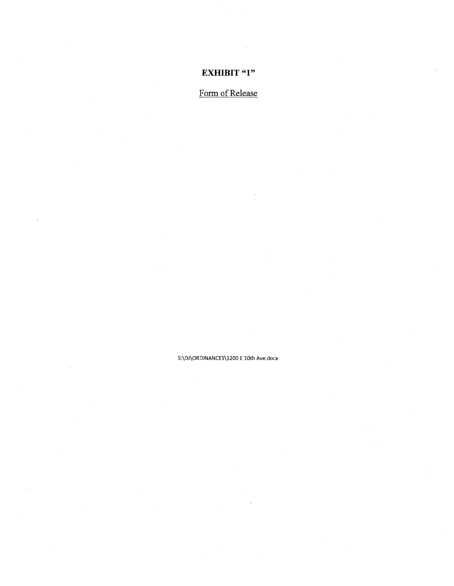## **EXHIBIT "1"**

# Form of Release

S:\DJ\ORDINANCES\1200 E lOth Ave.docx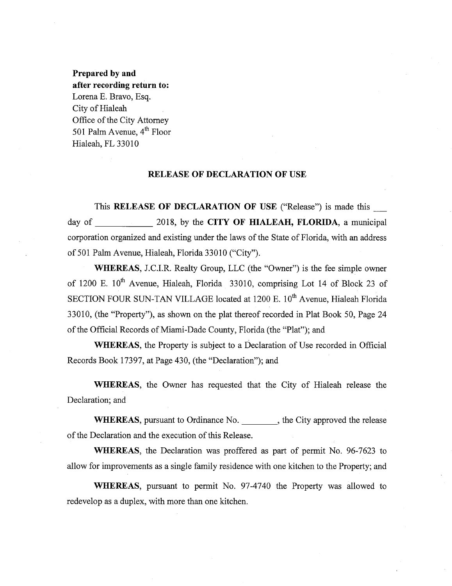**Prepared by and after recording return to:**  Lorena E. Bravo, Esq. City of Hialeah Office of the City Attorney 501 Palm Avenue,  $4^{th}$  Floor Hialeah, FL 33010

#### **RELEASE OF DECLARATION OF USE**

This **RELEASE OF DECLARATION OF USE** ("Release") is made this\_ day of 2018, by the **CITY OF HIALEAH, FLORIDA**, a municipal corporation organized and existing under the laws of the State of Florida, with an address of 501 Palm Avenue, Hialeah, Florida 33010 ("City").

**WHEREAS,** J.C.I.R. Realty Group, LLC (the "Owner") is the fee simple owner of 1200 E.  $10^{th}$  Avenue, Hialeah, Florida 33010, comprising Lot 14 of Block 23 of SECTION FOUR SUN-TAN VILLAGE located at 1200 E. 10<sup>th</sup> Avenue, Hialeah Florida 33010, (the "Property"), as shown on the plat thereof recorded in Plat Book 50, Page 24 of the Official Records of Miami-Dade County, Florida (the "Plat"); and

**WHEREAS,** the Property is subject to a Declaration of Use recorded in Official Records Book 17397, at Page 430, (the "Declaration"); and

**WHEREAS,** the Owner has requested that the City of Hialeah release the Declaration; and

WHEREAS, pursuant to Ordinance No. \_\_\_\_\_\_\_\_, the City approved the release of the Declaration and the execution of this Release.

**WHEREAS,** the Declaration was proffered as part of permit No. 96-7623 to allow for improvements as a single family residence with one kitchen to the Property; and

**WHEREAS,** pursuant to permit No. 97-4740 the Property was allowed to redevelop as a duplex, with more than one kitchen.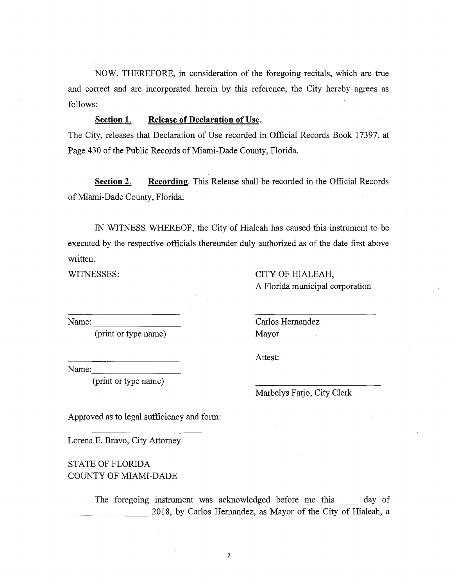NOW, THEREFORE, in consideration of the foregoing recitals, which are true and correct and are incorporated herein by this reference, the City hereby agrees as follows:

#### **Section 1. Release of Declaration of Use.**

The City, releases that Declaration of Use recorded in Official Records Book 17397, at Page 430 of the Public Records of Miami-Dade County, Florida.

**Section 2.** Recording. This Release shall be recorded in the Official Records of Miami-Dade County, Florida.

IN WITNESS WHEREOF, the City of Hialeah has caused this instrument to be executed by the respective officials thereunder duly authorized as of the date first above written.

WITNESSES:

CITY OF HIALEAH, A Florida municipal corporation

Name:

(print or type name)

Carlos Hernandez Mayor

Attest:

Name:

(print or type name)

Marbelys Fatjo, City Clerk

Approved as to legal sufficiency and form:

Lorena E. Bravo, City Attorney

STATE OF FLORIDA COUNTY OF MIAMI-DADE

> The foregoing instrument was acknowledged before me this day of 2018, by Carlos Hernandez, as Mayor of the City of Hialeah, a